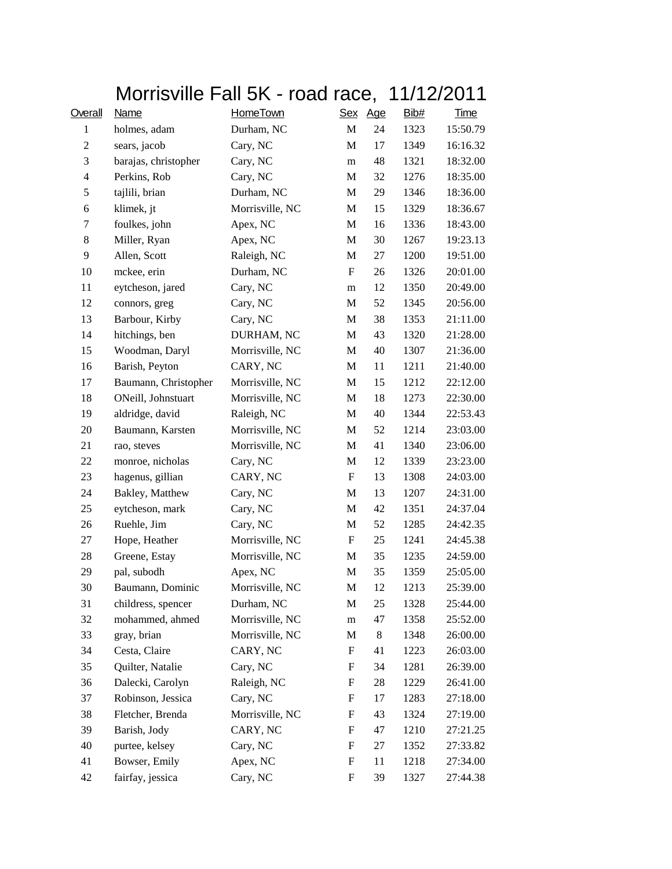|                |                      |                 |             | Morrisville Fall 5K - road race, 11/12/2011 |      |             |  |
|----------------|----------------------|-----------------|-------------|---------------------------------------------|------|-------------|--|
| Overall        | Name                 | <b>HomeTown</b> |             | Sex Age                                     | Bib# | <b>Time</b> |  |
| $\mathbf{1}$   | holmes, adam         | Durham, NC      | M           | 24                                          | 1323 | 15:50.79    |  |
| $\mathfrak{2}$ | sears, jacob         | Cary, NC        | M           | 17                                          | 1349 | 16:16.32    |  |
| 3              | barajas, christopher | Cary, NC        | m           | 48                                          | 1321 | 18:32.00    |  |
| 4              | Perkins, Rob         | Cary, NC        | M           | 32                                          | 1276 | 18:35.00    |  |
| $\mathfrak s$  | tajlili, brian       | Durham, NC      | M           | 29                                          | 1346 | 18:36.00    |  |
| 6              | klimek, jt           | Morrisville, NC | M           | 15                                          | 1329 | 18:36.67    |  |
| $\tau$         | foulkes, john        | Apex, NC        | M           | 16                                          | 1336 | 18:43.00    |  |
| 8              | Miller, Ryan         | Apex, NC        | М           | 30                                          | 1267 | 19:23.13    |  |
| 9              | Allen, Scott         | Raleigh, NC     | M           | 27                                          | 1200 | 19:51.00    |  |
| 10             | mckee, erin          | Durham, NC      | $\mathbf F$ | 26                                          | 1326 | 20:01.00    |  |
| 11             | eytcheson, jared     | Cary, NC        | m           | 12                                          | 1350 | 20:49.00    |  |
| 12             | connors, greg        | Cary, NC        | M           | 52                                          | 1345 | 20:56.00    |  |
| 13             | Barbour, Kirby       | Cary, NC        | М           | 38                                          | 1353 | 21:11.00    |  |
| 14             | hitchings, ben       | DURHAM, NC      | M           | 43                                          | 1320 | 21:28.00    |  |
| 15             | Woodman, Daryl       | Morrisville, NC | M           | 40                                          | 1307 | 21:36.00    |  |
| 16             | Barish, Peyton       | CARY, NC        | М           | 11                                          | 1211 | 21:40.00    |  |
| 17             | Baumann, Christopher | Morrisville, NC | M           | 15                                          | 1212 | 22:12.00    |  |
| 18             | ONeill, Johnstuart   | Morrisville, NC | M           | 18                                          | 1273 | 22:30.00    |  |
| 19             | aldridge, david      | Raleigh, NC     | M           | 40                                          | 1344 | 22:53.43    |  |
| 20             | Baumann, Karsten     | Morrisville, NC | M           | 52                                          | 1214 | 23:03.00    |  |
| 21             | rao, steves          | Morrisville, NC | М           | 41                                          | 1340 | 23:06.00    |  |
| 22             | monroe, nicholas     | Cary, NC        | М           | 12                                          | 1339 | 23:23.00    |  |
| 23             | hagenus, gillian     | CARY, NC        | F           | 13                                          | 1308 | 24:03.00    |  |
| 24             | Bakley, Matthew      | Cary, NC        | M           | 13                                          | 1207 | 24:31.00    |  |
| 25             | eytcheson, mark      | Cary, NC        | M           | 42                                          | 1351 | 24:37.04    |  |
| 26             | Ruehle, Jim          | Cary, NC        | М           | 52                                          | 1285 | 24:42.35    |  |
| 27             | Hope, Heather        | Morrisville, NC | F           | 25                                          | 1241 | 24:45.38    |  |
| 28             | Greene, Estay        | Morrisville, NC | M           | 35                                          | 1235 | 24:59.00    |  |
| 29             | pal, subodh          | Apex, NC        | M           | 35                                          | 1359 | 25:05.00    |  |
| 30             | Baumann, Dominic     | Morrisville, NC | M           | 12                                          | 1213 | 25:39.00    |  |
| 31             | childress, spencer   | Durham, NC      | M           | 25                                          | 1328 | 25:44.00    |  |
| 32             | mohammed, ahmed      | Morrisville, NC | m           | 47                                          | 1358 | 25:52.00    |  |
| 33             | gray, brian          | Morrisville, NC | M           | 8                                           | 1348 | 26:00.00    |  |
| 34             | Cesta, Claire        | CARY, NC        | F           | 41                                          | 1223 | 26:03.00    |  |
| 35             | Quilter, Natalie     | Cary, NC        | F           | 34                                          | 1281 | 26:39.00    |  |
| 36             | Dalecki, Carolyn     | Raleigh, NC     | ${\rm F}$   | 28                                          | 1229 | 26:41.00    |  |
| 37             | Robinson, Jessica    | Cary, NC        | F           | 17                                          | 1283 | 27:18.00    |  |
| 38             | Fletcher, Brenda     | Morrisville, NC | F           | 43                                          | 1324 | 27:19.00    |  |
| 39             | Barish, Jody         | CARY, NC        | F           | 47                                          | 1210 | 27:21.25    |  |
| 40             | purtee, kelsey       | Cary, NC        | F           | 27                                          | 1352 | 27:33.82    |  |
| 41             | Bowser, Emily        | Apex, NC        | ${\rm F}$   | 11                                          | 1218 | 27:34.00    |  |
| 42             | fairfay, jessica     | Cary, NC        | F           | 39                                          | 1327 | 27:44.38    |  |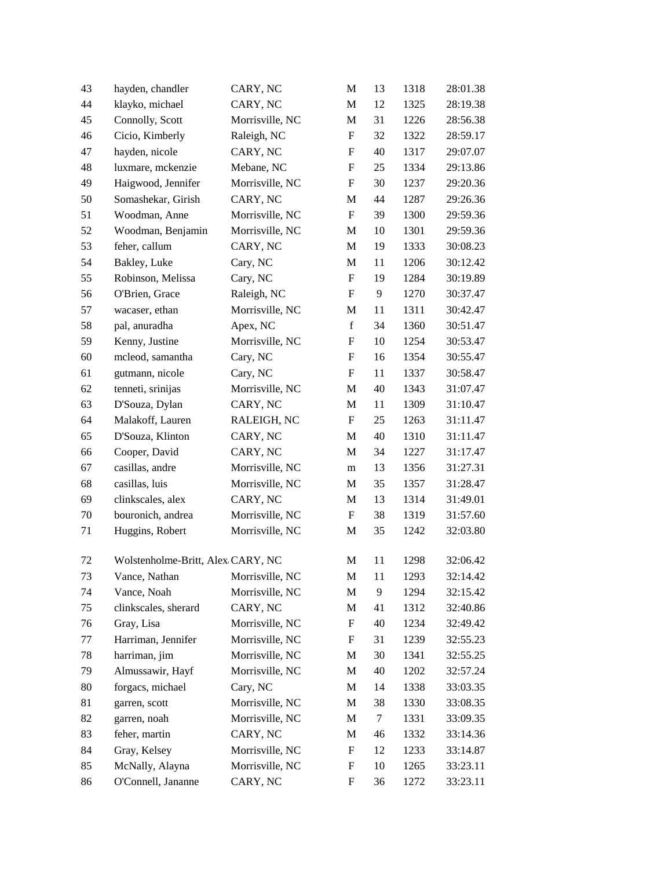| 43 | hayden, chandler                  | CARY, NC        | M                         | 13     | 1318 | 28:01.38 |
|----|-----------------------------------|-----------------|---------------------------|--------|------|----------|
| 44 | klayko, michael                   | CARY, NC        | M                         | 12     | 1325 | 28:19.38 |
| 45 | Connolly, Scott                   | Morrisville, NC | M                         | 31     | 1226 | 28:56.38 |
| 46 | Cicio, Kimberly                   | Raleigh, NC     | $\boldsymbol{\mathrm{F}}$ | 32     | 1322 | 28:59.17 |
| 47 | hayden, nicole                    | CARY, NC        | F                         | 40     | 1317 | 29:07.07 |
| 48 | luxmare, mckenzie                 | Mebane, NC      | $\boldsymbol{\mathrm{F}}$ | 25     | 1334 | 29:13.86 |
| 49 | Haigwood, Jennifer                | Morrisville, NC | F                         | 30     | 1237 | 29:20.36 |
| 50 | Somashekar, Girish                | CARY, NC        | M                         | 44     | 1287 | 29:26.36 |
| 51 | Woodman, Anne                     | Morrisville, NC | ${\bf F}$                 | 39     | 1300 | 29:59.36 |
| 52 | Woodman, Benjamin                 | Morrisville, NC | M                         | 10     | 1301 | 29:59.36 |
| 53 | feher, callum                     | CARY, NC        | M                         | 19     | 1333 | 30:08.23 |
| 54 | Bakley, Luke                      | Cary, NC        | M                         | 11     | 1206 | 30:12.42 |
| 55 | Robinson, Melissa                 | Cary, NC        | F                         | 19     | 1284 | 30:19.89 |
| 56 | O'Brien, Grace                    | Raleigh, NC     | F                         | 9      | 1270 | 30:37.47 |
| 57 | wacaser, ethan                    | Morrisville, NC | M                         | 11     | 1311 | 30:42.47 |
| 58 | pal, anuradha                     | Apex, NC        | $\mathbf f$               | 34     | 1360 | 30:51.47 |
| 59 | Kenny, Justine                    | Morrisville, NC | F                         | 10     | 1254 | 30:53.47 |
| 60 | mcleod, samantha                  | Cary, NC        | $\boldsymbol{F}$          | 16     | 1354 | 30:55.47 |
| 61 | gutmann, nicole                   | Cary, NC        | $\boldsymbol{\mathrm{F}}$ | 11     | 1337 | 30:58.47 |
| 62 | tenneti, srinijas                 | Morrisville, NC | M                         | 40     | 1343 | 31:07.47 |
| 63 | D'Souza, Dylan                    | CARY, NC        | M                         | 11     | 1309 | 31:10.47 |
| 64 | Malakoff, Lauren                  | RALEIGH, NC     | $\boldsymbol{\mathrm{F}}$ | 25     | 1263 | 31:11.47 |
| 65 | D'Souza, Klinton                  | CARY, NC        | M                         | 40     | 1310 | 31:11.47 |
| 66 | Cooper, David                     | CARY, NC        | M                         | 34     | 1227 | 31:17.47 |
| 67 | casillas, andre                   | Morrisville, NC | m                         | 13     | 1356 | 31:27.31 |
| 68 | casillas, luis                    | Morrisville, NC | M                         | 35     | 1357 | 31:28.47 |
| 69 | clinkscales, alex                 | CARY, NC        | M                         | 13     | 1314 | 31:49.01 |
| 70 | bouronich, andrea                 | Morrisville, NC | $\boldsymbol{\mathrm{F}}$ | 38     | 1319 | 31:57.60 |
| 71 | Huggins, Robert                   | Morrisville, NC | M                         | 35     | 1242 | 32:03.80 |
| 72 | Wolstenholme-Britt, Alex CARY, NC |                 | M                         | 11     | 1298 | 32:06.42 |
| 73 | Vance, Nathan Morrisville, NC     |                 | M                         | 11     | 1293 | 32:14.42 |
| 74 | Vance, Noah                       | Morrisville, NC | M                         | 9      | 1294 | 32:15.42 |
| 75 | clinkscales, sherard              | CARY, NC        | M                         | 41     | 1312 | 32:40.86 |
| 76 | Gray, Lisa                        | Morrisville, NC | $\boldsymbol{F}$          | 40     | 1234 | 32:49.42 |
| 77 | Harriman, Jennifer                | Morrisville, NC | F                         | 31     | 1239 | 32:55.23 |
| 78 | harriman, jim                     | Morrisville, NC | M                         | 30     | 1341 | 32:55.25 |
| 79 | Almussawir, Hayf                  | Morrisville, NC | M                         | 40     | 1202 | 32:57.24 |
| 80 | forgacs, michael                  | Cary, NC        | M                         | 14     | 1338 | 33:03.35 |
| 81 | garren, scott                     | Morrisville, NC | M                         | 38     | 1330 | 33:08.35 |
| 82 | garren, noah                      | Morrisville, NC | M                         | $\tau$ | 1331 | 33:09.35 |
| 83 | feher, martin                     | CARY, NC        | M                         | 46     | 1332 | 33:14.36 |
| 84 | Gray, Kelsey                      | Morrisville, NC | F                         | 12     | 1233 | 33:14.87 |
| 85 | McNally, Alayna                   | Morrisville, NC | F                         | 10     | 1265 | 33:23.11 |
| 86 | O'Connell, Jananne                | CARY, NC        | F                         | 36     | 1272 | 33:23.11 |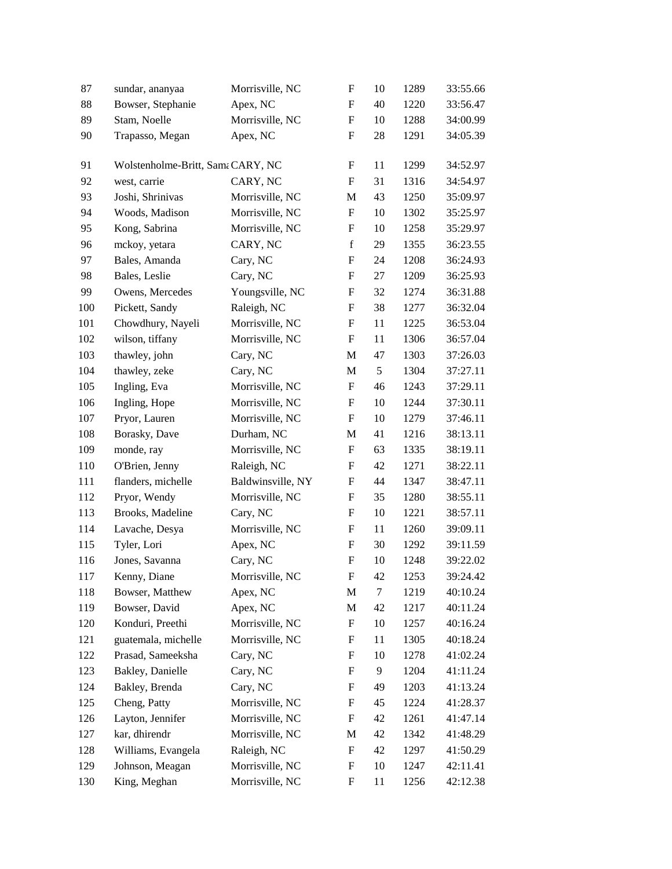| 87  | sundar, ananyaa                   | Morrisville, NC   | $\boldsymbol{\mathrm{F}}$ | 10         | 1289 | 33:55.66 |
|-----|-----------------------------------|-------------------|---------------------------|------------|------|----------|
| 88  | Bowser, Stephanie                 | Apex, NC          | F                         | 40         | 1220 | 33:56.47 |
| 89  | Stam, Noelle                      | Morrisville, NC   | $\boldsymbol{F}$          | 10         | 1288 | 34:00.99 |
| 90  | Trapasso, Megan                   | Apex, NC          | $\boldsymbol{\mathrm{F}}$ | 28         | 1291 | 34:05.39 |
| 91  | Wolstenholme-Britt, Sama CARY, NC |                   | F                         | 11         | 1299 | 34:52.97 |
| 92  | west, carrie                      | CARY, NC          | F                         | 31         | 1316 | 34:54.97 |
| 93  | Joshi, Shrinivas                  | Morrisville, NC   | M                         | 43         | 1250 | 35:09.97 |
| 94  | Woods, Madison                    | Morrisville, NC   | $\boldsymbol{\mathrm{F}}$ | 10         | 1302 | 35:25.97 |
| 95  | Kong, Sabrina                     | Morrisville, NC   | F                         | 10         | 1258 | 35:29.97 |
| 96  | mckoy, yetara                     | CARY, NC          | $\mathbf f$               | 29         | 1355 | 36:23.55 |
| 97  | Bales, Amanda                     | Cary, NC          | F                         | 24         | 1208 | 36:24.93 |
| 98  | Bales, Leslie                     | Cary, NC          | F                         | 27         | 1209 | 36:25.93 |
| 99  | Owens, Mercedes                   | Youngsville, NC   | F                         | 32         | 1274 | 36:31.88 |
| 100 | Pickett, Sandy                    | Raleigh, NC       | F                         | 38         | 1277 | 36:32.04 |
| 101 | Chowdhury, Nayeli                 | Morrisville, NC   | $\boldsymbol{\mathrm{F}}$ | 11         | 1225 | 36:53.04 |
| 102 | wilson, tiffany                   | Morrisville, NC   | $\boldsymbol{F}$          | 11         | 1306 | 36:57.04 |
| 103 | thawley, john                     | Cary, NC          | M                         | 47         | 1303 | 37:26.03 |
| 104 | thawley, zeke                     | Cary, NC          | M                         | $\sqrt{5}$ | 1304 | 37:27.11 |
| 105 | Ingling, Eva                      | Morrisville, NC   | $\boldsymbol{F}$          | 46         | 1243 | 37:29.11 |
| 106 | Ingling, Hope                     | Morrisville, NC   | $\boldsymbol{\mathrm{F}}$ | 10         | 1244 | 37:30.11 |
| 107 | Pryor, Lauren                     | Morrisville, NC   | $\boldsymbol{F}$          | 10         | 1279 | 37:46.11 |
| 108 | Borasky, Dave                     | Durham, NC        | M                         | 41         | 1216 | 38:13.11 |
| 109 | monde, ray                        | Morrisville, NC   | $\boldsymbol{\mathrm{F}}$ | 63         | 1335 | 38:19.11 |
| 110 | O'Brien, Jenny                    | Raleigh, NC       | $\boldsymbol{F}$          | 42         | 1271 | 38:22.11 |
| 111 | flanders, michelle                | Baldwinsville, NY | $\boldsymbol{\mathrm{F}}$ | 44         | 1347 | 38:47.11 |
| 112 | Pryor, Wendy                      | Morrisville, NC   | $\boldsymbol{F}$          | 35         | 1280 | 38:55.11 |
| 113 | Brooks, Madeline                  | Cary, NC          | F                         | 10         | 1221 | 38:57.11 |
| 114 | Lavache, Desya                    | Morrisville, NC   | $\boldsymbol{F}$          | 11         | 1260 | 39:09.11 |
| 115 | Tyler, Lori                       | Apex, NC          | F                         | 30         | 1292 | 39:11.59 |
| 116 | Jones, Savanna                    | Cary, NC          | $\boldsymbol{\mathrm{F}}$ | 10         | 1248 | 39:22.02 |
| 117 | Kenny, Diane                      | Morrisville, NC   | ${\bf F}$                 | 42         | 1253 | 39:24.42 |
| 118 | Bowser, Matthew                   | Apex, NC          | M                         | $\tau$     | 1219 | 40:10.24 |
| 119 | Bowser, David                     | Apex, NC          | M                         | 42         | 1217 | 40:11.24 |
| 120 | Konduri, Preethi                  | Morrisville, NC   | F                         | 10         | 1257 | 40:16.24 |
| 121 | guatemala, michelle               | Morrisville, NC   | $\boldsymbol{F}$          | 11         | 1305 | 40:18.24 |
| 122 | Prasad, Sameeksha                 | Cary, NC          | F                         | 10         | 1278 | 41:02.24 |
| 123 | Bakley, Danielle                  | Cary, NC          | F                         | 9          | 1204 | 41:11.24 |
| 124 | Bakley, Brenda                    | Cary, NC          | F                         | 49         | 1203 | 41:13.24 |
| 125 | Cheng, Patty                      | Morrisville, NC   | F                         | 45         | 1224 | 41:28.37 |
| 126 | Layton, Jennifer                  | Morrisville, NC   | $\boldsymbol{F}$          | 42         | 1261 | 41:47.14 |
| 127 | kar, dhirendr                     | Morrisville, NC   | M                         | 42         | 1342 | 41:48.29 |
| 128 | Williams, Evangela                | Raleigh, NC       | $\boldsymbol{F}$          | 42         | 1297 | 41:50.29 |
| 129 | Johnson, Meagan                   | Morrisville, NC   | F                         | 10         | 1247 | 42:11.41 |
| 130 | King, Meghan                      | Morrisville, NC   | F                         | 11         | 1256 | 42:12.38 |